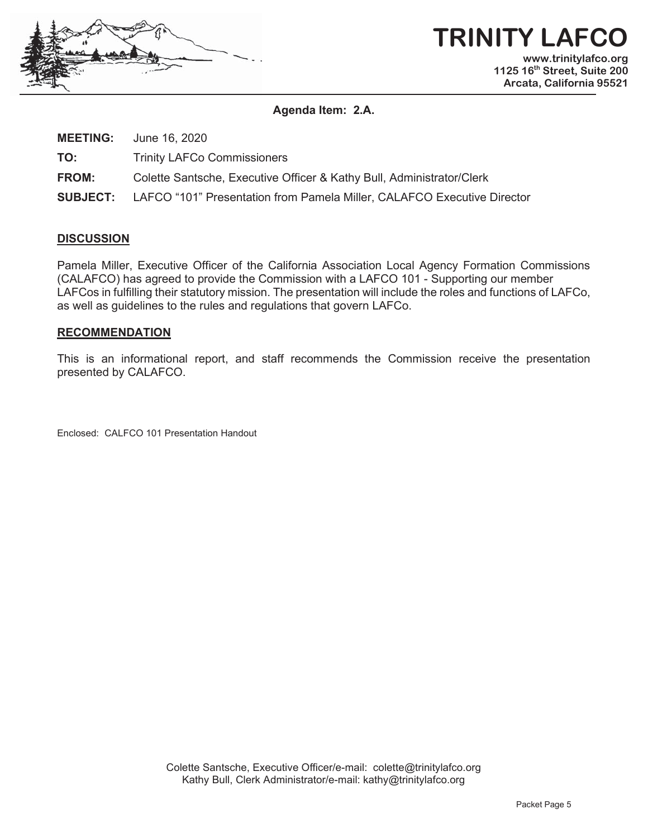

# **TRINITY LAFCO www.trinitylafco.org 1125 16th Street, Suite 200**

**Arcata, California 95521** 

**Agenda Item: 2.A.** 

**MEETING:** June 16, 2020

**TO:** Trinity LAFCo Commissioners

**FROM:** Colette Santsche, Executive Officer & Kathy Bull, Administrator/Clerk

**SUBJECT:** LAFCO "101" Presentation from Pamela Miller, CALAFCO Executive Director

#### **DISCUSSION**

Pamela Miller, Executive Officer of the California Association Local Agency Formation Commissions (CALAFCO) has agreed to provide the Commission with a LAFCO 101 - Supporting our member LAFCos in fulfilling their statutory mission. The presentation will include the roles and functions of LAFCo, as well as guidelines to the rules and regulations that govern LAFCo.

#### **RECOMMENDATION**

This is an informational report, and staff recommends the Commission receive the presentation presented by CALAFCO.

Enclosed: CALFCO 101 Presentation Handout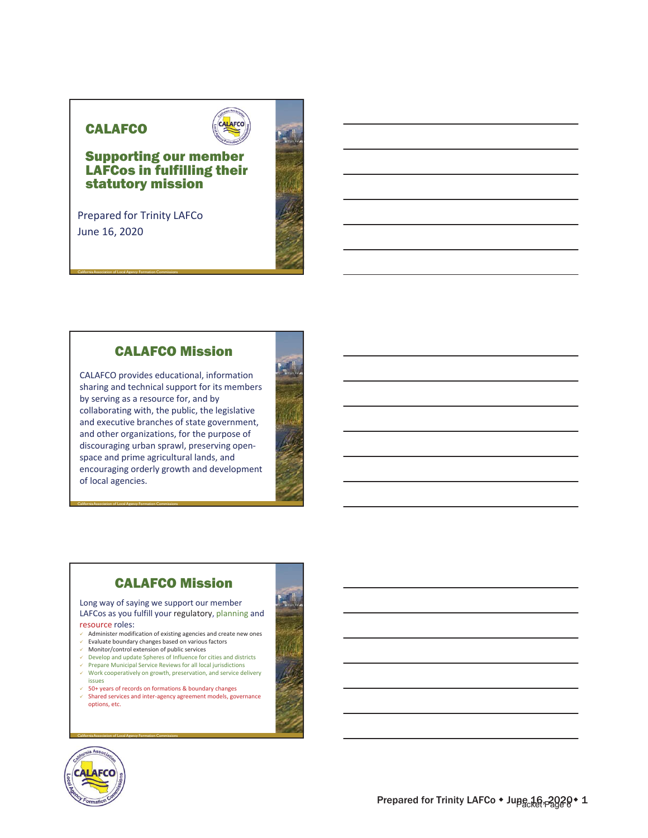#### **CALAFCO**



#### Supporting our member LAFCos in fulfilling their statutory mission

Prepared for Trinity LAFCo June 16, 2020

California Association of Local Agency Formation Commissions

#### CALAFCO Mission

CALAFCO provides educational, information sharing and technical support for its members by serving as a resource for, and by collaborating with, the public, the legislative and executive branches of state government, and other organizations, for the purpose of discouraging urban sprawl, preserving openspace and prime agricultural lands, and encouraging orderly growth and development of local agencies.



# CALAFCO Mission

Long way of saying we support our member LAFCos as you fulfill your regulatory, planning and

#### resource roles:

- $\checkmark$  Administer modification of existing agencies and create new ones
- $\checkmark$  Evaluate boundary changes based on various factors
- $\checkmark$  Monitor/control extension of public services

California Association of Local Agency Formation Commissions

- $\vee$  Develop and update Spheres of Influence for cities and districts  $\checkmark$  Prepare Municipal Service Reviews for all local jurisdictions
- $\checkmark$  Work cooperatively on growth, preservation, and service delivery issues
- $99$  50+ years of records on formations & boundary changes ⊌ Shared services and inter-agency agreement models, governance options, etc.



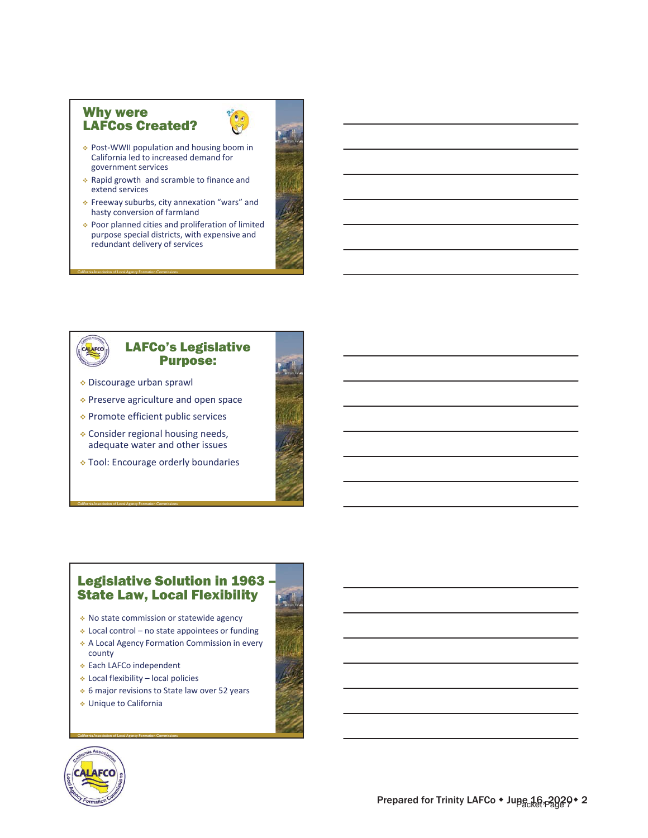#### Why were LAFCos Created?



- PostͲWWII population and housing boom in California led to increased demand for government services
- $\triangle$  Rapid growth and scramble to finance and extend services
- Freeway suburbs, city annexation "wars" and hasty conversion of farmland
- Poor planned cities and proliferation of limited purpose special districts, with expensive and redundant delivery of services



#### LAFCo's Legislative Purpose:

Discourage urban sprawl

California Association of Local Agency Formation Commissions

California Association of Local Agency Formation Commissions

- ◆ Preserve agriculture and open space
- Promote efficient public services
- Consider regional housing needs, adequate water and other issues
- Tool: Encourage orderly boundaries



#### Legislative Solution in 1963 – State Law, Local Flexibility

- No state commission or statewide agency
- $\cdot$  Local control no state appointees or funding
- A Local Agency Formation Commission in every county
- ◆ Each LAFCo independent
- Local flexibility local policies
- 6 major revisions to State law over 52 years
- Unique to California

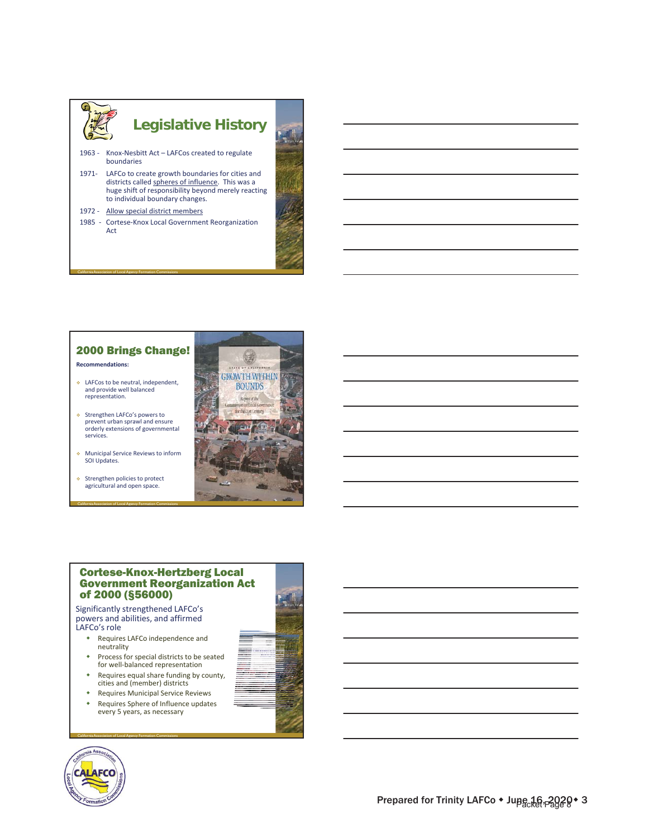

#### 2000 Brings Change! **Recommendations:**

- LAFCos to be neutral, independent, and provide well balanced representation.
- ◆ Strengthen LAFCo's powers to prevent urban sprawl and ensure orderly extensions of governmental services.
- **Municipal Service Reviews to inform** SOI Updates.

California Association of Local Agency Formation Commissions

 Strengthen policies to protect agricultural and open space.



#### Cortese-Knox-Hertzberg Local Government Reorganization Act of 2000 (§56000)

Significantly strengthened LAFCo's powers and abilities, and affirmed LAFCo's role

- Requires LAFCo independence and neutrality
- Process for special districts to be seated for well-balanced representation
- Requires equal share funding by county, cities and (member) districts
- Requires Municipal Service Reviews Requires Sphere of Influence updates





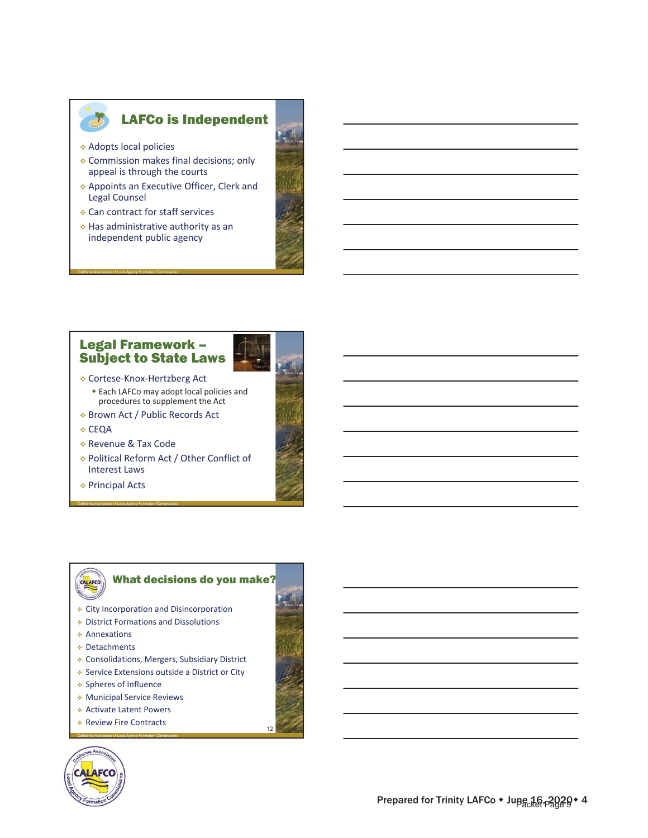

#### LAFCo is Independent

Adopts local policies

California Association of Local Agency Formation Commissions

- Commission makes final decisions; only appeal is through the courts
- Appoints an Executive Officer, Clerk and Legal Counsel
- Can contract for staff services
- Has administrative authority as an independent public agency



#### Legal Framework – Subject to State Laws



- Brown Act / Public Records Act
- **∻ CEQA**
- Revenue & Tax Code

California Association of Local Agency Formation Commissions

- Political Reform Act / Other Conflict of Interest Laws
- Principal Acts

# What decisions do you make?

- CALAFCO
- City Incorporation and Disincorporation
- District Formations and Dissolutions
- Annexations
- ◆ Detachments
- Consolidations, Mergers, Subsidiary District
- Service Extensions outside a District or City
- Spheres of Influence
- Municipal Service Reviews
- Activate Latent Powers
- California Association of Local Agency Formation Commissions ◆ Review Fire Contracts

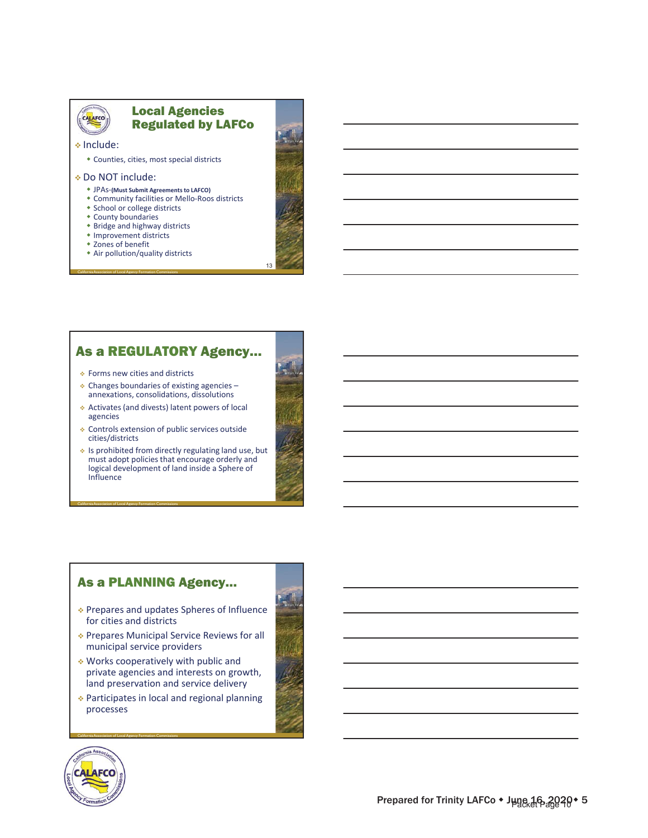# CALAFCO

#### Local Agencies Regulated by LAFCo

Include:

Counties, cities, most special districts

#### Do NOT include:

- JPAsͲ**(Must Submit Agreements to LAFCO)**
- ◆ Community facilities or Mello-Roos districts
- School or college districts
- County boundaries
- Bridge and highway districts
- Improvement districts

California Association of Local Agency Formation Commissions

- Zones of benefit
- Air pollution/quality districts

#### As a REGULATORY Agency…

◆ Forms new cities and districts

California Association of Local Agency Formation Commissions

- $\triangle$  Changes boundaries of existing agencies annexations, consolidations, dissolutions
- Activates(and divests) latent powers of local agencies
- Controls extension of public services outside cities/districts
- $\cdot$  Is prohibited from directly regulating land use, but must adopt policies that encourage orderly and logical development of land inside a Sphere of Influence

#### As a PLANNING Agency…

- Prepares and updates Spheres of Influence for cities and districts
- Prepares Municipal Service Reviews for all municipal service providers
- Works cooperatively with public and private agencies and interests on growth, land preservation and service delivery
- Participates in local and regional planning processes



California Association of Local Agency Formation Commissions





13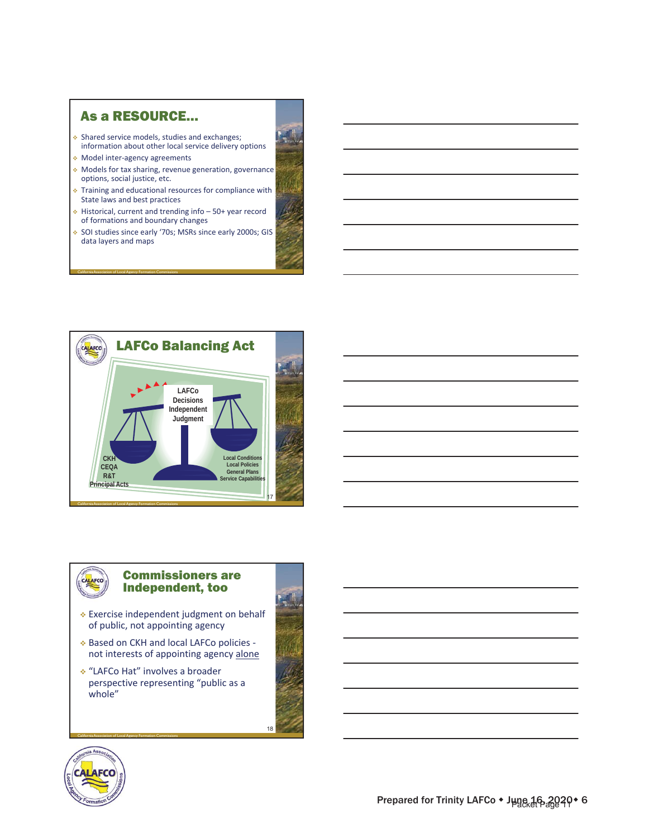#### As a RESOURCE…

- Shared service models, studies and exchanges; information about other local service delivery options
- Model interͲagency agreements

California Association of Local Agency Formation Commissions

- **Models for tax sharing, revenue generation, governance** options, social justice, etc.
- $\bullet$  Training and educational resources for compliance with State laws and best practices
- Historical, current and trending info 50+ year record of formations and boundary changes
- ◆ SOI studies since early '70s; MSRs since early 2000s; GIS data layers and maps



#### Commissioners are Independent, too

- Exercise independent judgment on behalf of public, not appointing agency
- ❖ Based on CKH and local LAFCo policies not interests of appointing agency alone
- "LAFCo Hat" involves a broader perspective representing "public as a whole"



18



CALAFCO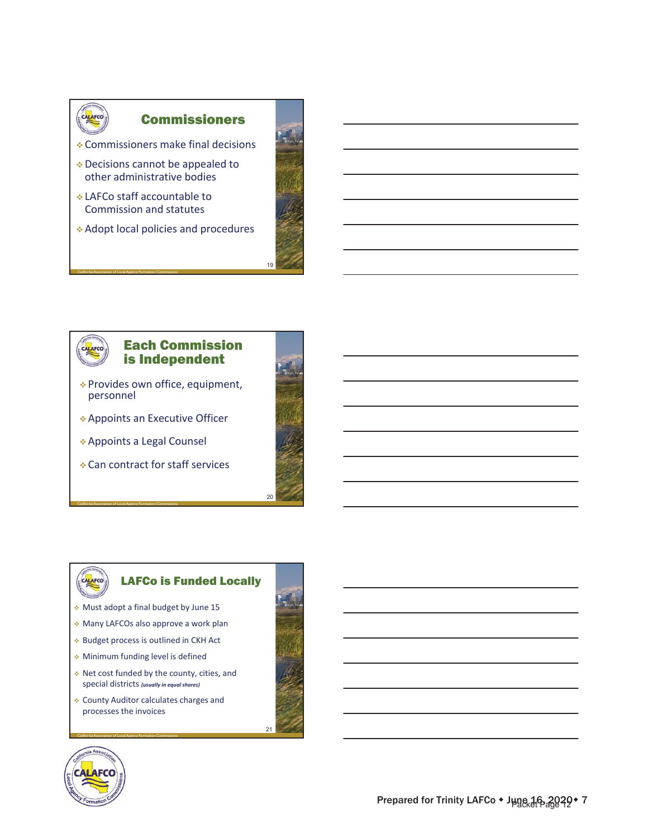

#### Commissioners

- Commissioners make final decisions
- Decisions cannot be appealed to other administrative bodies
- LAFCo staff accountable to Commission and statutes

California Association of Local Agency Formation Commissions

Adopt local policies and procedures

Provides own office, equipment,

Each Commission is Independent

Appoints an Executive Officer

Can contract for staff services

Appoints a Legal Counsel



19

#### LAFCo is Funded Locally

Must adopt a final budget by June 15

California Association of Local Agency Formation Commissions

personnel

CALAFCO

- Many LAFCOs also approve a work plan
- ◆ Budget process is outlined in CKH Act
- Minimum funding level is defined
- Net cost funded by the county, cities, and special districts *(usually in equal shares)*
- County Auditor calculates charges and processes the invoices

California Association of Local Agency Formation Commissions





CALAFCO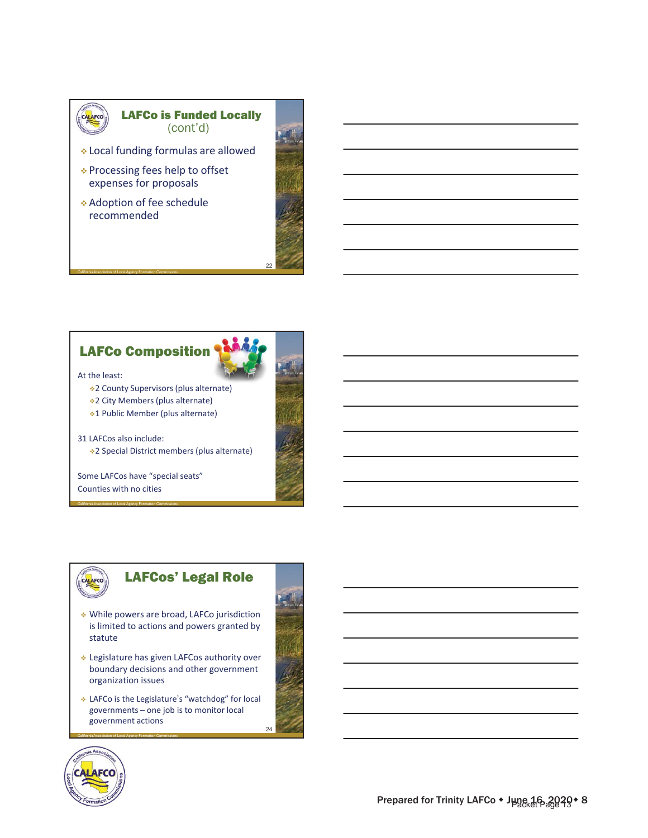

#### LAFCo is Funded Locally (cont'd)

- Local funding formulas are allowed
- Processing fees help to offset expenses for proposals
- Adoption of fee schedule recommended

California Association of Local Agency Formation Commissions



# LAFCo Composition

At the least:

- 2 County Supervisors (plus alternate)
- 2 City Members (plus alternate)
- 1 Public Member (plus alternate)

31 LAFCos also include: 2 Special District members (plus alternate)

Some LAFCos have "special seats" Counties with no cities

California Association of Local Agency Formation Commissions

# LAFCos' Legal Role

- While powers are broad, LAFCo jurisdiction is limited to actions and powers granted by statute
- Legislature has given LAFCos authority over boundary decisions and other government organization issues
- LAFCo is the Legislature's "watchdog" for local governments – one job is to monitor local government actions

24



CALAFCO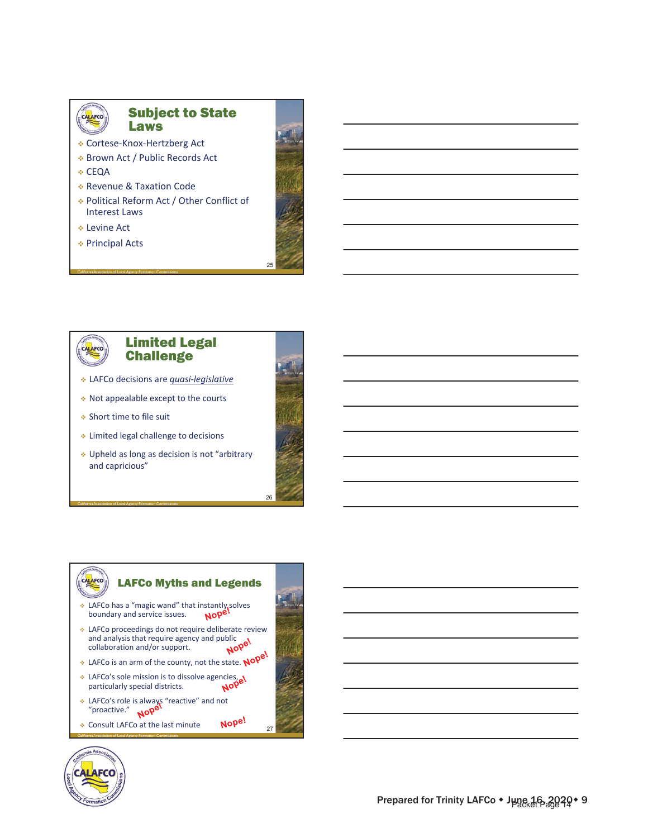

#### Subject to State Laws

- CorteseͲKnoxͲHertzberg Act
- Brown Act / Public Records Act
- **↓ CEQA**
- Revenue & Taxation Code

California Association of Local Agency Formation Commissions

- Political Reform Act / Other Conflict of Interest Laws
- Levine Act
- Principal Acts





#### Limited Legal **Challenge**

- LAFCo decisions are *quasiͲlegislative*
- Not appealable except to the courts
- Short time to file suit

California Association of Local Agency Formation Commissions

- Limited legal challenge to decisions
- Upheld as long as decision is not "arbitrary and capricious"



# LAFCo Myths and Legends

- LAFCo has a "magic wand" that instantly solves<br>boundary and service issues.  $\sqrt{100}$ boundary and service issues.
- LAFCo proceedings do not require deliberate review<br>and analysis that require agency and public<br>collaboration and/or support. and analysis that require agency and public collaboration and/or support.
- LAFCo is an arm of the county, not the state. Nope!
- ◆ LAFCo's sole mission is to dissolve agencies, particularly special districts.
- LAFCo's role is always "reactive" and not "proactive."
- ◆ Consult LAFCo at the last minute Nope!

California Association of Local Agency Formation Commissions



CALAFCO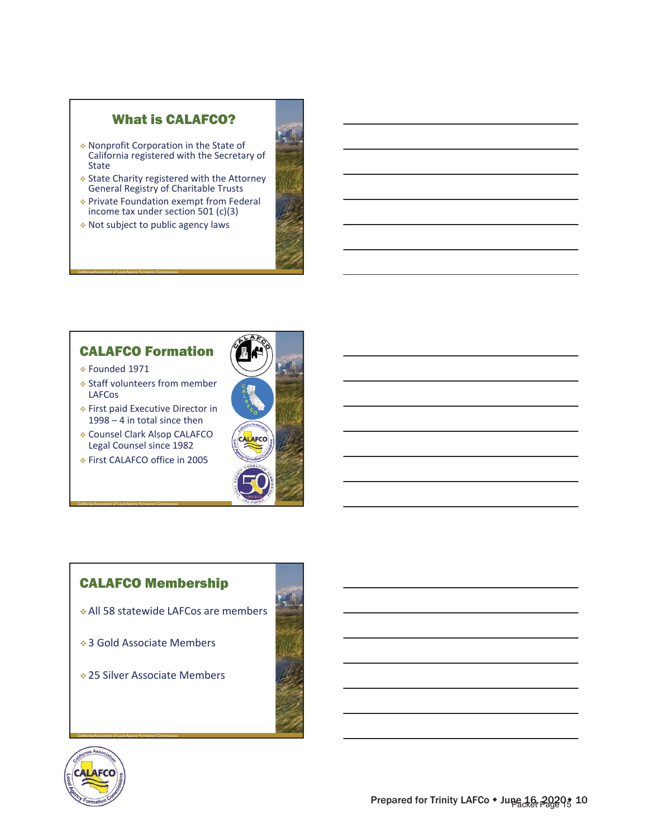# What is CALAFCO?

- Nonprofit Corporation in the State of California registered with the Secretary of State
- ◆ State Charity registered with the Attorney General Registry of Charitable Trusts Private Foundation exempt from Federal

income tax under section 501 (c)(3) Not subject to public agency laws

# CALAFCO Formation

Founded 1971

California Association of Local Agency Formation Commissions

- Staff volunteers from member LAFCos
- First paid Executive Director in 1998 – 4 in total since then
- Counsel Clark Alsop CALAFCO Legal Counsel since 1982
- First CALAFCO office in 2005

California Association of Local Agency Formation Commissions



# CALAFCO Membership

- All 58 statewide LAFCos are members
- ◆ 3 Gold Associate Members
- 25 Silver Associate Members



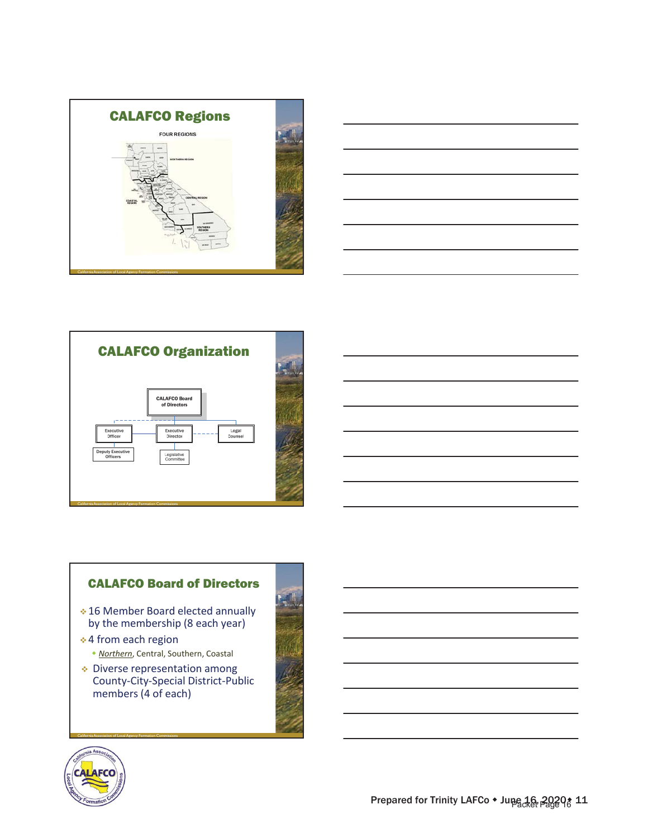





# CALAFCO Board of Directors

- 16 Member Board elected annually by the membership (8 each year)
- 4 from each region *Northern*, Central, Southern, Coastal
- Diverse representation among County-City-Special District-Public members (4 of each)



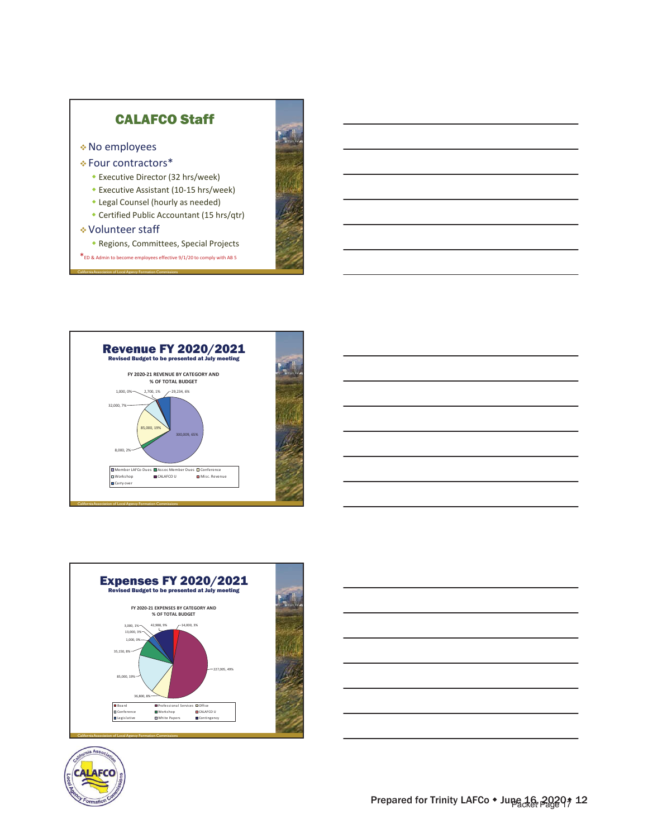





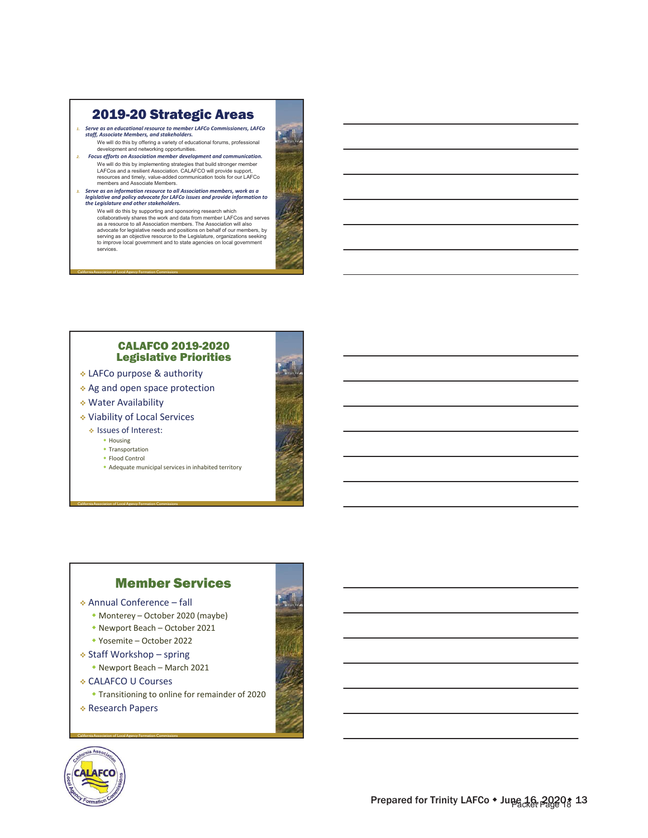# 2019-20 Strategic Areas

1. Serve as an educational resource to member LAFCo Commissioners, LAFCo<br>staff, Associate Members, and stakeholders.

- We will do this by offering a variety of educational forums, professional<br>development and networking opportunities. *2. Focus efforts on Association member development and communication.* We will do this by implementing strategies that build stronger member<br>LAFCos and a resilient Association. CALAFCO will provide support,<br>resources and timely, value-added communication tools for our LAFCo<br>members and Associ
- *3. Serve as an information resource to all Association members, work as a* legislative and policy advocate for LAFCo issues and provide information to<br>the Legislature and other stakeholders.

We will do this by supporting and sponsoring research which<br>collaboratively shares the work and data from member LAFCos and serves<br>as a resource to all Association members. The Association will also advocate for legislative needs and positions on behalf of our members, by<br>serving as an objective resource to the Legislature, organizations seeking<br>to improve local government and to state agencies on local government<br>ser

#### CALAFCO 2019-2020 Legislative Priorities

- LAFCo purpose & authority
- Ag and open space protection
- Water Availability

California Association of Local Agency Formation Commissions

- Viability of Local Services
	- Issues of Interest:
		- Housing
		- Transportation Flood Control

California Association of Local Agency Formation Commissions

Adequate municipal services in inhabited territory



# Member Services

#### Annual Conference – fall

- Monterey October 2020 (maybe)
- Newport Beach October 2021
- Yosemite October 2022
- ◆ Staff Workshop spring
	- Newport Beach March 2021
- CALAFCO U Courses

- Transitioning to online for remainder of 2020
- Research Papers



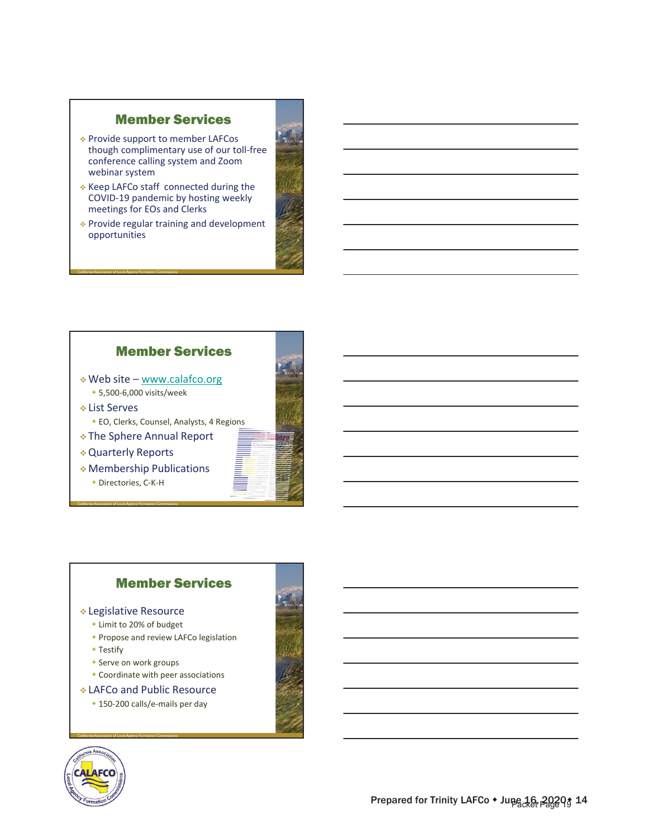# Member Services

- Provide support to member LAFCos though complimentary use of our toll-free conference calling system and Zoom webinar system
- $\triangle$  Keep LAFCo staff connected during the COVID-19 pandemic by hosting weekly meetings for EOs and Clerks
- Provide regular training and development opportunities



# Member Services

- Web site www.calafco.org ◆ 5,500-6,000 visits/week
- List Serves
	- EO, Clerks, Counsel, Analysts, 4 Regions
- The Sphere Annual Report
- Quarterly Reports

California Association of Local Agency Formation Commissions

California Association of Local Agency Formation Commissions

 Membership Publications ◆ Directories, C-K-H



# Member Services

#### Legislative Resource

- Limit to 20% of budget
- **Propose and review LAFCo legislation**
- Testify
- Serve on work groups

- Coordinate with peer associations
- LAFCo and Public Resource
	- ◆ 150-200 calls/e-mails per day